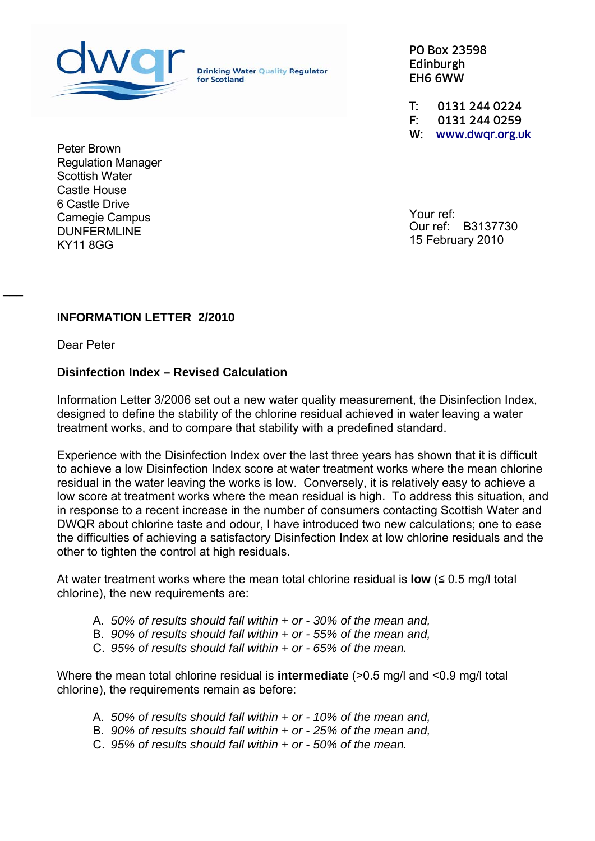

**Drinking Water Quality Regulator** for Scotland

PO Box 23598 Edinburgh EH6 6WW

T: 0131 244 0224 F: 0131 244 0259 W: www.dwqr.org.uk

Peter Brown Regulation Manager Scottish Water Castle House 6 Castle Drive Carnegie Campus DUNFERMLINE KY11 8GG

Your ref: Our ref: B3137730 15 February 2010

## **INFORMATION LETTER 2/2010**

Dear Peter

 $\overline{\phantom{a}}$ 

## **Disinfection Index – Revised Calculation**

Information Letter 3/2006 set out a new water quality measurement, the Disinfection Index, designed to define the stability of the chlorine residual achieved in water leaving a water treatment works, and to compare that stability with a predefined standard.

Experience with the Disinfection Index over the last three years has shown that it is difficult to achieve a low Disinfection Index score at water treatment works where the mean chlorine residual in the water leaving the works is low. Conversely, it is relatively easy to achieve a low score at treatment works where the mean residual is high. To address this situation, and in response to a recent increase in the number of consumers contacting Scottish Water and DWQR about chlorine taste and odour, I have introduced two new calculations; one to ease the difficulties of achieving a satisfactory Disinfection Index at low chlorine residuals and the other to tighten the control at high residuals.

At water treatment works where the mean total chlorine residual is **low**  $(6.5 \text{ mgh})$  total chlorine), the new requirements are:

- A. *50% of results should fall within + or 30% of the mean and,*
- B. *90% of results should fall within + or 55% of the mean and,*
- C. *95% of results should fall within + or 65% of the mean.*

Where the mean total chlorine residual is **intermediate** (>0.5 mg/l and <0.9 mg/l total chlorine), the requirements remain as before:

- A. *50% of results should fall within + or 10% of the mean and,*
- B. *90% of results should fall within + or 25% of the mean and,*
- C. *95% of results should fall within + or 50% of the mean.*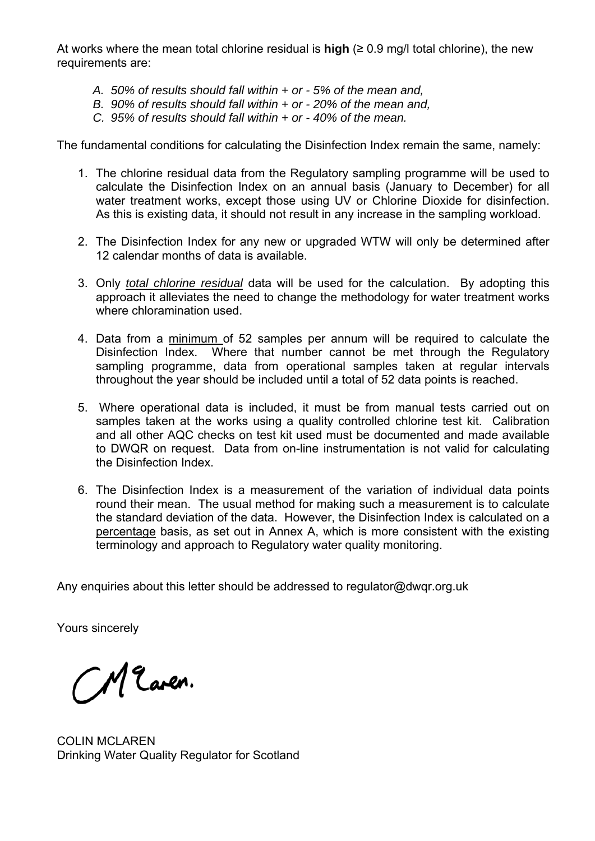At works where the mean total chlorine residual is **high** (≥ 0.9 mg/l total chlorine), the new requirements are:

- *A. 50% of results should fall within + or 5% of the mean and,*
- *B. 90% of results should fall within + or 20% of the mean and,*
- *C. 95% of results should fall within + or 40% of the mean.*

The fundamental conditions for calculating the Disinfection Index remain the same, namely:

- 1. The chlorine residual data from the Regulatory sampling programme will be used to calculate the Disinfection Index on an annual basis (January to December) for all water treatment works, except those using UV or Chlorine Dioxide for disinfection. As this is existing data, it should not result in any increase in the sampling workload.
- 2. The Disinfection Index for any new or upgraded WTW will only be determined after 12 calendar months of data is available.
- 3. Only *total chlorine residual* data will be used for the calculation. By adopting this approach it alleviates the need to change the methodology for water treatment works where chloramination used.
- 4. Data from a minimum of 52 samples per annum will be required to calculate the Disinfection Index. Where that number cannot be met through the Regulatory sampling programme, data from operational samples taken at regular intervals throughout the year should be included until a total of 52 data points is reached.
- 5. Where operational data is included, it must be from manual tests carried out on samples taken at the works using a quality controlled chlorine test kit. Calibration and all other AQC checks on test kit used must be documented and made available to DWQR on request. Data from on-line instrumentation is not valid for calculating the Disinfection Index.
- 6. The Disinfection Index is a measurement of the variation of individual data points round their mean. The usual method for making such a measurement is to calculate the standard deviation of the data. However, the Disinfection Index is calculated on a percentage basis, as set out in Annex A, which is more consistent with the existing terminology and approach to Regulatory water quality monitoring.

Any enquiries about this letter should be addressed to regulator@dwqr.org.uk

Yours sincerely

Mearen.

COLIN MCLAREN Drinking Water Quality Regulator for Scotland